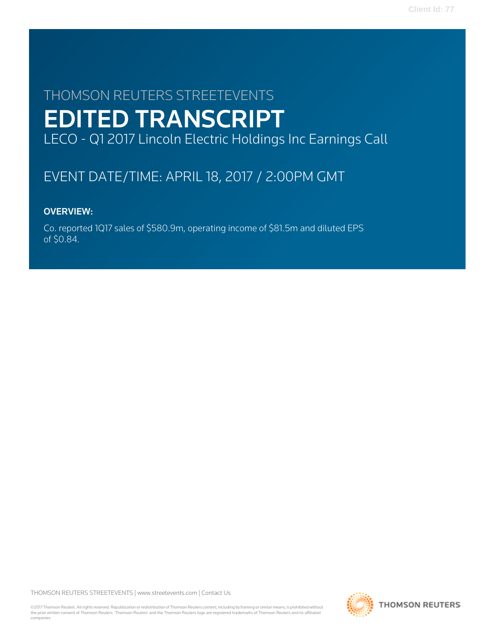# THOMSON REUTERS STREETEVENTS EDITED TRANSCRIPT LECO - Q1 2017 Lincoln Electric Holdings Inc Earnings Call

# EVENT DATE/TIME: APRIL 18, 2017 / 2:00PM GMT

# OVERVIEW:

Co. reported 1Q17 sales of \$580.9m, operating income of \$81.5m and diluted EPS of \$0.84.

THOMSON REUTERS STREETEVENTS | [www.streetevents.com](http://www.streetevents.com) | [Contact Us](http://www010.streetevents.com/contact.asp)

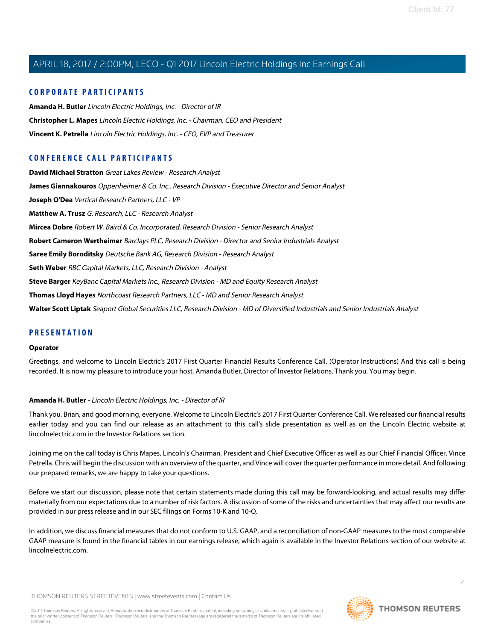# **CORPORATE PARTICIPANTS**

**[Amanda H. Butler](#page-1-0)** Lincoln Electric Holdings, Inc. - Director of IR **[Christopher L. Mapes](#page-2-0)** Lincoln Electric Holdings, Inc. - Chairman, CEO and President **[Vincent K. Petrella](#page-2-1)** Lincoln Electric Holdings, Inc. - CFO, EVP and Treasurer

# **CONFERENCE CALL PARTICIPANTS**

**[David Michael Stratton](#page-8-0)** Great Lakes Review - Research Analyst **[James Giannakouros](#page-6-0)** Oppenheimer & Co. Inc., Research Division - Executive Director and Senior Analyst **[Joseph O'Dea](#page-5-0)** Vertical Research Partners, LLC - VP **[Matthew A. Trusz](#page-11-0)** G. Research, LLC - Research Analyst **[Mircea Dobre](#page-4-0)** Robert W. Baird & Co. Incorporated, Research Division - Senior Research Analyst **[Robert Cameron Wertheimer](#page-7-0)** Barclays PLC, Research Division - Director and Senior Industrials Analyst **[Saree Emily Boroditsky](#page-7-1)** Deutsche Bank AG, Research Division - Research Analyst **[Seth Weber](#page-14-0)** RBC Capital Markets, LLC, Research Division - Analyst **[Steve Barger](#page-12-0)** KeyBanc Capital Markets Inc., Research Division - MD and Equity Research Analyst **[Thomas Lloyd Hayes](#page-11-1)** Northcoast Research Partners, LLC - MD and Senior Research Analyst **[Walter Scott Liptak](#page-9-0)** Seaport Global Securities LLC, Research Division - MD of Diversified Industrials and Senior Industrials Analyst

# **PRESENTATION**

#### **Operator**

<span id="page-1-0"></span>Greetings, and welcome to Lincoln Electric's 2017 First Quarter Financial Results Conference Call. (Operator Instructions) And this call is being recorded. It is now my pleasure to introduce your host, Amanda Butler, Director of Investor Relations. Thank you. You may begin.

#### **Amanda H. Butler** - Lincoln Electric Holdings, Inc. - Director of IR

Thank you, Brian, and good morning, everyone. Welcome to Lincoln Electric's 2017 First Quarter Conference Call. We released our financial results earlier today and you can find our release as an attachment to this call's slide presentation as well as on the Lincoln Electric website at lincolnelectric.com in the Investor Relations section.

Joining me on the call today is Chris Mapes, Lincoln's Chairman, President and Chief Executive Officer as well as our Chief Financial Officer, Vince Petrella. Chris will begin the discussion with an overview of the quarter, and Vince will cover the quarter performance in more detail. And following our prepared remarks, we are happy to take your questions.

Before we start our discussion, please note that certain statements made during this call may be forward-looking, and actual results may differ materially from our expectations due to a number of risk factors. A discussion of some of the risks and uncertainties that may affect our results are provided in our press release and in our SEC filings on Forms 10-K and 10-Q.

In addition, we discuss financial measures that do not conform to U.S. GAAP, and a reconciliation of non-GAAP measures to the most comparable GAAP measure is found in the financial tables in our earnings release, which again is available in the Investor Relations section of our website at lincolnelectric.com.

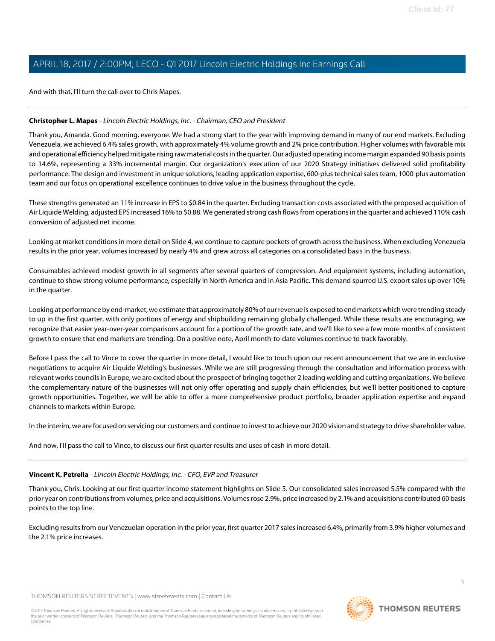And with that, I'll turn the call over to Chris Mapes.

# <span id="page-2-0"></span>**Christopher L. Mapes** - Lincoln Electric Holdings, Inc. - Chairman, CEO and President

Thank you, Amanda. Good morning, everyone. We had a strong start to the year with improving demand in many of our end markets. Excluding Venezuela, we achieved 6.4% sales growth, with approximately 4% volume growth and 2% price contribution. Higher volumes with favorable mix and operational efficiency helped mitigate rising raw material costs in the quarter. Our adjusted operating income margin expanded 90 basis points to 14.6%, representing a 33% incremental margin. Our organization's execution of our 2020 Strategy initiatives delivered solid profitability performance. The design and investment in unique solutions, leading application expertise, 600-plus technical sales team, 1000-plus automation team and our focus on operational excellence continues to drive value in the business throughout the cycle.

These strengths generated an 11% increase in EPS to \$0.84 in the quarter. Excluding transaction costs associated with the proposed acquisition of Air Liquide Welding, adjusted EPS increased 16% to \$0.88. We generated strong cash flows from operations in the quarter and achieved 110% cash conversion of adjusted net income.

Looking at market conditions in more detail on Slide 4, we continue to capture pockets of growth across the business. When excluding Venezuela results in the prior year, volumes increased by nearly 4% and grew across all categories on a consolidated basis in the business.

Consumables achieved modest growth in all segments after several quarters of compression. And equipment systems, including automation, continue to show strong volume performance, especially in North America and in Asia Pacific. This demand spurred U.S. export sales up over 10% in the quarter.

Looking at performance by end-market, we estimate that approximately 80% of our revenue is exposed to end markets which were trending steady to up in the first quarter, with only portions of energy and shipbuilding remaining globally challenged. While these results are encouraging, we recognize that easier year-over-year comparisons account for a portion of the growth rate, and we'll like to see a few more months of consistent growth to ensure that end markets are trending. On a positive note, April month-to-date volumes continue to track favorably.

Before I pass the call to Vince to cover the quarter in more detail, I would like to touch upon our recent announcement that we are in exclusive negotiations to acquire Air Liquide Welding's businesses. While we are still progressing through the consultation and information process with relevant works councils in Europe, we are excited about the prospect of bringing together 2 leading welding and cutting organizations. We believe the complementary nature of the businesses will not only offer operating and supply chain efficiencies, but we'll better positioned to capture growth opportunities. Together, we will be able to offer a more comprehensive product portfolio, broader application expertise and expand channels to markets within Europe.

<span id="page-2-1"></span>In the interim, we are focused on servicing our customers and continue to invest to achieve our 2020 vision and strategy to drive shareholder value.

And now, I'll pass the call to Vince, to discuss our first quarter results and uses of cash in more detail.

#### **Vincent K. Petrella** - Lincoln Electric Holdings, Inc. - CFO, EVP and Treasurer

Thank you, Chris. Looking at our first quarter income statement highlights on Slide 5. Our consolidated sales increased 5.5% compared with the prior year on contributions from volumes, price and acquisitions. Volumes rose 2.9%, price increased by 2.1% and acquisitions contributed 60 basis points to the top line.

Excluding results from our Venezuelan operation in the prior year, first quarter 2017 sales increased 6.4%, primarily from 3.9% higher volumes and the 2.1% price increases.

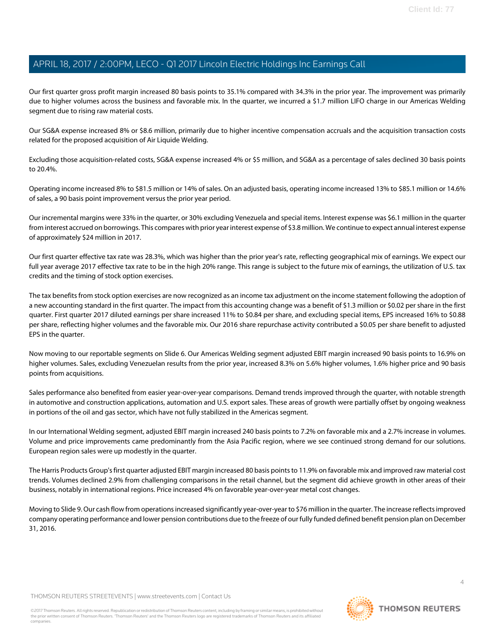Our first quarter gross profit margin increased 80 basis points to 35.1% compared with 34.3% in the prior year. The improvement was primarily due to higher volumes across the business and favorable mix. In the quarter, we incurred a \$1.7 million LIFO charge in our Americas Welding segment due to rising raw material costs.

Our SG&A expense increased 8% or \$8.6 million, primarily due to higher incentive compensation accruals and the acquisition transaction costs related for the proposed acquisition of Air Liquide Welding.

Excluding those acquisition-related costs, SG&A expense increased 4% or \$5 million, and SG&A as a percentage of sales declined 30 basis points to 20.4%.

Operating income increased 8% to \$81.5 million or 14% of sales. On an adjusted basis, operating income increased 13% to \$85.1 million or 14.6% of sales, a 90 basis point improvement versus the prior year period.

Our incremental margins were 33% in the quarter, or 30% excluding Venezuela and special items. Interest expense was \$6.1 million in the quarter from interest accrued on borrowings. This compares with prior year interest expense of \$3.8 million. We continue to expect annual interest expense of approximately \$24 million in 2017.

Our first quarter effective tax rate was 28.3%, which was higher than the prior year's rate, reflecting geographical mix of earnings. We expect our full year average 2017 effective tax rate to be in the high 20% range. This range is subject to the future mix of earnings, the utilization of U.S. tax credits and the timing of stock option exercises.

The tax benefits from stock option exercises are now recognized as an income tax adjustment on the income statement following the adoption of a new accounting standard in the first quarter. The impact from this accounting change was a benefit of \$1.3 million or \$0.02 per share in the first quarter. First quarter 2017 diluted earnings per share increased 11% to \$0.84 per share, and excluding special items, EPS increased 16% to \$0.88 per share, reflecting higher volumes and the favorable mix. Our 2016 share repurchase activity contributed a \$0.05 per share benefit to adjusted EPS in the quarter.

Now moving to our reportable segments on Slide 6. Our Americas Welding segment adjusted EBIT margin increased 90 basis points to 16.9% on higher volumes. Sales, excluding Venezuelan results from the prior year, increased 8.3% on 5.6% higher volumes, 1.6% higher price and 90 basis points from acquisitions.

Sales performance also benefited from easier year-over-year comparisons. Demand trends improved through the quarter, with notable strength in automotive and construction applications, automation and U.S. export sales. These areas of growth were partially offset by ongoing weakness in portions of the oil and gas sector, which have not fully stabilized in the Americas segment.

In our International Welding segment, adjusted EBIT margin increased 240 basis points to 7.2% on favorable mix and a 2.7% increase in volumes. Volume and price improvements came predominantly from the Asia Pacific region, where we see continued strong demand for our solutions. European region sales were up modestly in the quarter.

The Harris Products Group's first quarter adjusted EBIT margin increased 80 basis points to 11.9% on favorable mix and improved raw material cost trends. Volumes declined 2.9% from challenging comparisons in the retail channel, but the segment did achieve growth in other areas of their business, notably in international regions. Price increased 4% on favorable year-over-year metal cost changes.

Moving to Slide 9. Our cash flow from operations increased significantly year-over-year to \$76 million in the quarter. The increase reflects improved company operating performance and lower pension contributions due to the freeze of our fully funded defined benefit pension plan on December 31, 2016.

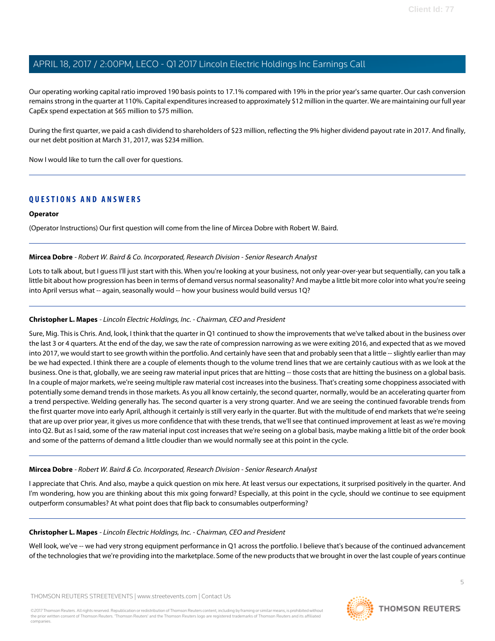Our operating working capital ratio improved 190 basis points to 17.1% compared with 19% in the prior year's same quarter. Our cash conversion remains strong in the quarter at 110%. Capital expenditures increased to approximately \$12 million in the quarter. We are maintaining our full year CapEx spend expectation at \$65 million to \$75 million.

During the first quarter, we paid a cash dividend to shareholders of \$23 million, reflecting the 9% higher dividend payout rate in 2017. And finally, our net debt position at March 31, 2017, was \$234 million.

Now I would like to turn the call over for questions.

# **QUESTIONS AND ANSWERS**

#### **Operator**

<span id="page-4-0"></span>(Operator Instructions) Our first question will come from the line of Mircea Dobre with Robert W. Baird.

# **Mircea Dobre** - Robert W. Baird & Co. Incorporated, Research Division - Senior Research Analyst

Lots to talk about, but I guess I'll just start with this. When you're looking at your business, not only year-over-year but sequentially, can you talk a little bit about how progression has been in terms of demand versus normal seasonality? And maybe a little bit more color into what you're seeing into April versus what -- again, seasonally would -- how your business would build versus 1Q?

#### **Christopher L. Mapes** - Lincoln Electric Holdings, Inc. - Chairman, CEO and President

Sure, Mig. This is Chris. And, look, I think that the quarter in Q1 continued to show the improvements that we've talked about in the business over the last 3 or 4 quarters. At the end of the day, we saw the rate of compression narrowing as we were exiting 2016, and expected that as we moved into 2017, we would start to see growth within the portfolio. And certainly have seen that and probably seen that a little -- slightly earlier than may be we had expected. I think there are a couple of elements though to the volume trend lines that we are certainly cautious with as we look at the business. One is that, globally, we are seeing raw material input prices that are hitting -- those costs that are hitting the business on a global basis. In a couple of major markets, we're seeing multiple raw material cost increases into the business. That's creating some choppiness associated with potentially some demand trends in those markets. As you all know certainly, the second quarter, normally, would be an accelerating quarter from a trend perspective. Welding generally has. The second quarter is a very strong quarter. And we are seeing the continued favorable trends from the first quarter move into early April, although it certainly is still very early in the quarter. But with the multitude of end markets that we're seeing that are up over prior year, it gives us more confidence that with these trends, that we'll see that continued improvement at least as we're moving into Q2. But as I said, some of the raw material input cost increases that we're seeing on a global basis, maybe making a little bit of the order book and some of the patterns of demand a little cloudier than we would normally see at this point in the cycle.

#### **Mircea Dobre** - Robert W. Baird & Co. Incorporated, Research Division - Senior Research Analyst

I appreciate that Chris. And also, maybe a quick question on mix here. At least versus our expectations, it surprised positively in the quarter. And I'm wondering, how you are thinking about this mix going forward? Especially, at this point in the cycle, should we continue to see equipment outperform consumables? At what point does that flip back to consumables outperforming?

#### **Christopher L. Mapes** - Lincoln Electric Holdings, Inc. - Chairman, CEO and President

Well look, we've -- we had very strong equipment performance in Q1 across the portfolio. I believe that's because of the continued advancement of the technologies that we're providing into the marketplace. Some of the new products that we brought in over the last couple of years continue

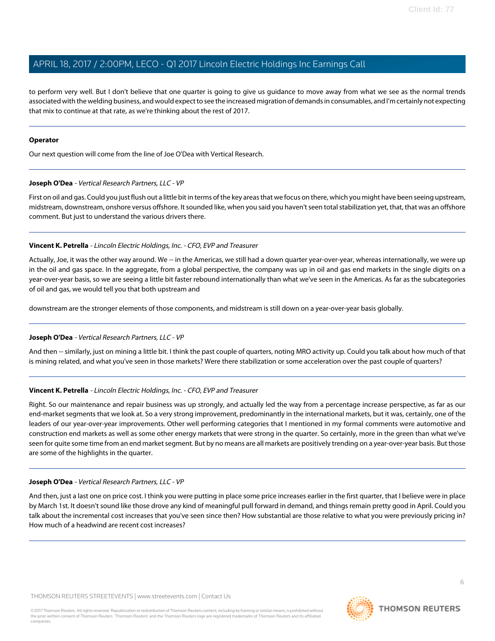to perform very well. But I don't believe that one quarter is going to give us guidance to move away from what we see as the normal trends associated with the welding business, and would expect to see the increased migration of demands in consumables, and I'm certainly not expecting that mix to continue at that rate, as we're thinking about the rest of 2017.

#### **Operator**

<span id="page-5-0"></span>Our next question will come from the line of Joe O'Dea with Vertical Research.

# **Joseph O'Dea** - Vertical Research Partners, LLC - VP

First on oil and gas. Could you just flush out a little bit in terms of the key areas that we focus on there, which you might have been seeing upstream, midstream, downstream, onshore versus offshore. It sounded like, when you said you haven't seen total stabilization yet, that, that was an offshore comment. But just to understand the various drivers there.

# **Vincent K. Petrella** - Lincoln Electric Holdings, Inc. - CFO, EVP and Treasurer

Actually, Joe, it was the other way around. We -- in the Americas, we still had a down quarter year-over-year, whereas internationally, we were up in the oil and gas space. In the aggregate, from a global perspective, the company was up in oil and gas end markets in the single digits on a year-over-year basis, so we are seeing a little bit faster rebound internationally than what we've seen in the Americas. As far as the subcategories of oil and gas, we would tell you that both upstream and

downstream are the stronger elements of those components, and midstream is still down on a year-over-year basis globally.

#### **Joseph O'Dea** - Vertical Research Partners, LLC - VP

And then -- similarly, just on mining a little bit. I think the past couple of quarters, noting MRO activity up. Could you talk about how much of that is mining related, and what you've seen in those markets? Were there stabilization or some acceleration over the past couple of quarters?

# **Vincent K. Petrella** - Lincoln Electric Holdings, Inc. - CFO, EVP and Treasurer

Right. So our maintenance and repair business was up strongly, and actually led the way from a percentage increase perspective, as far as our end-market segments that we look at. So a very strong improvement, predominantly in the international markets, but it was, certainly, one of the leaders of our year-over-year improvements. Other well performing categories that I mentioned in my formal comments were automotive and construction end markets as well as some other energy markets that were strong in the quarter. So certainly, more in the green than what we've seen for quite some time from an end market segment. But by no means are all markets are positively trending on a year-over-year basis. But those are some of the highlights in the quarter.

#### **Joseph O'Dea** - Vertical Research Partners, LLC - VP

And then, just a last one on price cost. I think you were putting in place some price increases earlier in the first quarter, that I believe were in place by March 1st. It doesn't sound like those drove any kind of meaningful pull forward in demand, and things remain pretty good in April. Could you talk about the incremental cost increases that you've seen since then? How substantial are those relative to what you were previously pricing in? How much of a headwind are recent cost increases?

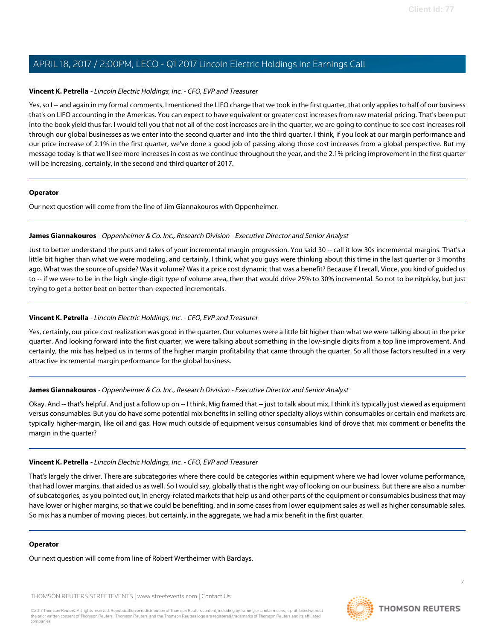#### **Vincent K. Petrella** - Lincoln Electric Holdings, Inc. - CFO, EVP and Treasurer

Yes, so I -- and again in my formal comments, I mentioned the LIFO charge that we took in the first quarter, that only applies to half of our business that's on LIFO accounting in the Americas. You can expect to have equivalent or greater cost increases from raw material pricing. That's been put into the book yield thus far. I would tell you that not all of the cost increases are in the quarter, we are going to continue to see cost increases roll through our global businesses as we enter into the second quarter and into the third quarter. I think, if you look at our margin performance and our price increase of 2.1% in the first quarter, we've done a good job of passing along those cost increases from a global perspective. But my message today is that we'll see more increases in cost as we continue throughout the year, and the 2.1% pricing improvement in the first quarter will be increasing, certainly, in the second and third quarter of 2017.

#### **Operator**

<span id="page-6-0"></span>Our next question will come from the line of Jim Giannakouros with Oppenheimer.

#### **James Giannakouros** - Oppenheimer & Co. Inc., Research Division - Executive Director and Senior Analyst

Just to better understand the puts and takes of your incremental margin progression. You said 30 -- call it low 30s incremental margins. That's a little bit higher than what we were modeling, and certainly, I think, what you guys were thinking about this time in the last quarter or 3 months ago. What was the source of upside? Was it volume? Was it a price cost dynamic that was a benefit? Because if I recall, Vince, you kind of guided us to -- if we were to be in the high single-digit type of volume area, then that would drive 25% to 30% incremental. So not to be nitpicky, but just trying to get a better beat on better-than-expected incrementals.

# **Vincent K. Petrella** - Lincoln Electric Holdings, Inc. - CFO, EVP and Treasurer

Yes, certainly, our price cost realization was good in the quarter. Our volumes were a little bit higher than what we were talking about in the prior quarter. And looking forward into the first quarter, we were talking about something in the low-single digits from a top line improvement. And certainly, the mix has helped us in terms of the higher margin profitability that came through the quarter. So all those factors resulted in a very attractive incremental margin performance for the global business.

#### **James Giannakouros** - Oppenheimer & Co. Inc., Research Division - Executive Director and Senior Analyst

Okay. And -- that's helpful. And just a follow up on -- I think, Mig framed that -- just to talk about mix, I think it's typically just viewed as equipment versus consumables. But you do have some potential mix benefits in selling other specialty alloys within consumables or certain end markets are typically higher-margin, like oil and gas. How much outside of equipment versus consumables kind of drove that mix comment or benefits the margin in the quarter?

#### **Vincent K. Petrella** - Lincoln Electric Holdings, Inc. - CFO, EVP and Treasurer

That's largely the driver. There are subcategories where there could be categories within equipment where we had lower volume performance, that had lower margins, that aided us as well. So I would say, globally that is the right way of looking on our business. But there are also a number of subcategories, as you pointed out, in energy-related markets that help us and other parts of the equipment or consumables business that may have lower or higher margins, so that we could be benefiting, and in some cases from lower equipment sales as well as higher consumable sales. So mix has a number of moving pieces, but certainly, in the aggregate, we had a mix benefit in the first quarter.

#### **Operator**

Our next question will come from line of Robert Wertheimer with Barclays.

THOMSON REUTERS STREETEVENTS | [www.streetevents.com](http://www.streetevents.com) | [Contact Us](http://www010.streetevents.com/contact.asp)

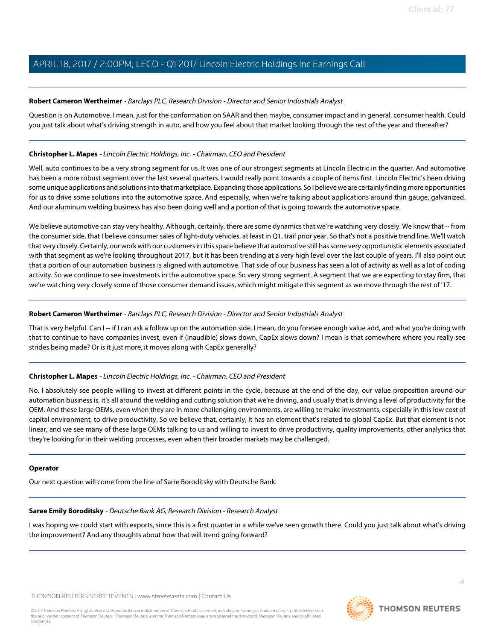# <span id="page-7-0"></span>**Robert Cameron Wertheimer** - Barclays PLC, Research Division - Director and Senior Industrials Analyst

Question is on Automotive. I mean, just for the conformation on SAAR and then maybe, consumer impact and in general, consumer health. Could you just talk about what's driving strength in auto, and how you feel about that market looking through the rest of the year and thereafter?

#### **Christopher L. Mapes** - Lincoln Electric Holdings, Inc. - Chairman, CEO and President

Well, auto continues to be a very strong segment for us. It was one of our strongest segments at Lincoln Electric in the quarter. And automotive has been a more robust segment over the last several quarters. I would really point towards a couple of items first. Lincoln Electric's been driving some unique applications and solutions into that marketplace. Expanding those applications. So I believe we are certainly finding more opportunities for us to drive some solutions into the automotive space. And especially, when we're talking about applications around thin gauge, galvanized. And our aluminum welding business has also been doing well and a portion of that is going towards the automotive space.

We believe automotive can stay very healthy. Although, certainly, there are some dynamics that we're watching very closely. We know that -- from the consumer side, that I believe consumer sales of light-duty vehicles, at least in Q1, trail prior year. So that's not a positive trend line. We'll watch that very closely. Certainly, our work with our customers in this space believe that automotive still has some very opportunistic elements associated with that segment as we're looking throughout 2017, but it has been trending at a very high level over the last couple of years. I'll also point out that a portion of our automation business is aligned with automotive. That side of our business has seen a lot of activity as well as a lot of coding activity. So we continue to see investments in the automotive space. So very strong segment. A segment that we are expecting to stay firm, that we're watching very closely some of those consumer demand issues, which might mitigate this segment as we move through the rest of '17.

# **Robert Cameron Wertheimer** - Barclays PLC, Research Division - Director and Senior Industrials Analyst

That is very helpful. Can I -- if I can ask a follow up on the automation side. I mean, do you foresee enough value add, and what you're doing with that to continue to have companies invest, even if (inaudible) slows down, CapEx slows down? I mean is that somewhere where you really see strides being made? Or is it just more, it moves along with CapEx generally?

# **Christopher L. Mapes** - Lincoln Electric Holdings, Inc. - Chairman, CEO and President

No. I absolutely see people willing to invest at different points in the cycle, because at the end of the day, our value proposition around our automation business is, it's all around the welding and cutting solution that we're driving, and usually that is driving a level of productivity for the OEM. And these large OEMs, even when they are in more challenging environments, are willing to make investments, especially in this low cost of capital environment, to drive productivity. So we believe that, certainly, it has an element that's related to global CapEx. But that element is not linear, and we see many of these large OEMs talking to us and willing to invest to drive productivity, quality improvements, other analytics that they're looking for in their welding processes, even when their broader markets may be challenged.

#### <span id="page-7-1"></span>**Operator**

Our next question will come from the line of Sarre Boroditsky with Deutsche Bank.

#### **Saree Emily Boroditsky** - Deutsche Bank AG, Research Division - Research Analyst

I was hoping we could start with exports, since this is a first quarter in a while we've seen growth there. Could you just talk about what's driving the improvement? And any thoughts about how that will trend going forward?

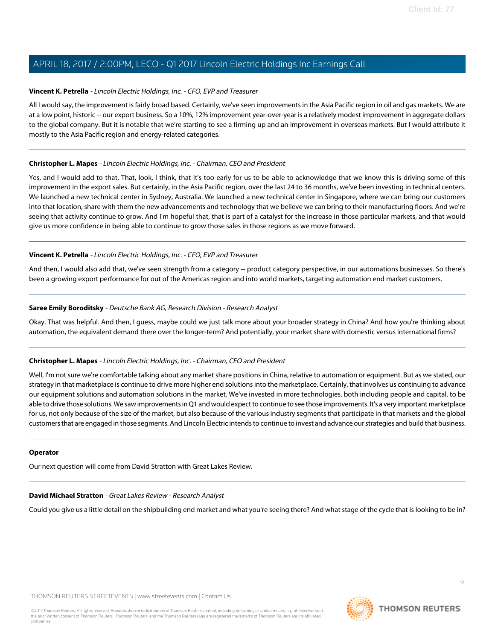# **Vincent K. Petrella** - Lincoln Electric Holdings, Inc. - CFO, EVP and Treasurer

All I would say, the improvement is fairly broad based. Certainly, we've seen improvements in the Asia Pacific region in oil and gas markets. We are at a low point, historic -- our export business. So a 10%, 12% improvement year-over-year is a relatively modest improvement in aggregate dollars to the global company. But it is notable that we're starting to see a firming up and an improvement in overseas markets. But I would attribute it mostly to the Asia Pacific region and energy-related categories.

# **Christopher L. Mapes** - Lincoln Electric Holdings, Inc. - Chairman, CEO and President

Yes, and I would add to that. That, look, I think, that it's too early for us to be able to acknowledge that we know this is driving some of this improvement in the export sales. But certainly, in the Asia Pacific region, over the last 24 to 36 months, we've been investing in technical centers. We launched a new technical center in Sydney, Australia. We launched a new technical center in Singapore, where we can bring our customers into that location, share with them the new advancements and technology that we believe we can bring to their manufacturing floors. And we're seeing that activity continue to grow. And I'm hopeful that, that is part of a catalyst for the increase in those particular markets, and that would give us more confidence in being able to continue to grow those sales in those regions as we move forward.

# **Vincent K. Petrella** - Lincoln Electric Holdings, Inc. - CFO, EVP and Treasurer

And then, I would also add that, we've seen strength from a category -- product category perspective, in our automations businesses. So there's been a growing export performance for out of the Americas region and into world markets, targeting automation end market customers.

# **Saree Emily Boroditsky** - Deutsche Bank AG, Research Division - Research Analyst

Okay. That was helpful. And then, I guess, maybe could we just talk more about your broader strategy in China? And how you're thinking about automation, the equivalent demand there over the longer-term? And potentially, your market share with domestic versus international firms?

# **Christopher L. Mapes** - Lincoln Electric Holdings, Inc. - Chairman, CEO and President

Well, I'm not sure we're comfortable talking about any market share positions in China, relative to automation or equipment. But as we stated, our strategy in that marketplace is continue to drive more higher end solutions into the marketplace. Certainly, that involves us continuing to advance our equipment solutions and automation solutions in the market. We've invested in more technologies, both including people and capital, to be able to drive those solutions. We saw improvements in Q1 and would expect to continue to see those improvements. It's a very important marketplace for us, not only because of the size of the market, but also because of the various industry segments that participate in that markets and the global customers that are engaged in those segments. And Lincoln Electric intends to continue to invest and advance our strategies and build that business.

#### <span id="page-8-0"></span>**Operator**

Our next question will come from David Stratton with Great Lakes Review.

#### **David Michael Stratton** - Great Lakes Review - Research Analyst

Could you give us a little detail on the shipbuilding end market and what you're seeing there? And what stage of the cycle that is looking to be in?

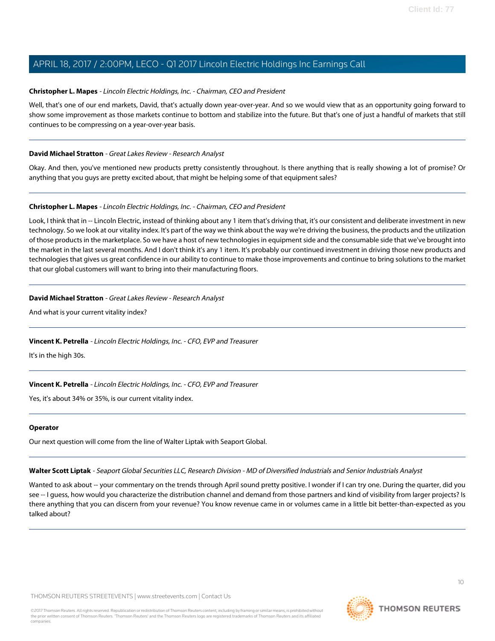# **Christopher L. Mapes** - Lincoln Electric Holdings, Inc. - Chairman, CEO and President

Well, that's one of our end markets, David, that's actually down year-over-year. And so we would view that as an opportunity going forward to show some improvement as those markets continue to bottom and stabilize into the future. But that's one of just a handful of markets that still continues to be compressing on a year-over-year basis.

# **David Michael Stratton** - Great Lakes Review - Research Analyst

Okay. And then, you've mentioned new products pretty consistently throughout. Is there anything that is really showing a lot of promise? Or anything that you guys are pretty excited about, that might be helping some of that equipment sales?

# **Christopher L. Mapes** - Lincoln Electric Holdings, Inc. - Chairman, CEO and President

Look, I think that in -- Lincoln Electric, instead of thinking about any 1 item that's driving that, it's our consistent and deliberate investment in new technology. So we look at our vitality index. It's part of the way we think about the way we're driving the business, the products and the utilization of those products in the marketplace. So we have a host of new technologies in equipment side and the consumable side that we've brought into the market in the last several months. And I don't think it's any 1 item. It's probably our continued investment in driving those new products and technologies that gives us great confidence in our ability to continue to make those improvements and continue to bring solutions to the market that our global customers will want to bring into their manufacturing floors.

# **David Michael Stratton** - Great Lakes Review - Research Analyst

And what is your current vitality index?

# **Vincent K. Petrella** - Lincoln Electric Holdings, Inc. - CFO, EVP and Treasurer

It's in the high 30s.

# **Vincent K. Petrella** - Lincoln Electric Holdings, Inc. - CFO, EVP and Treasurer

Yes, it's about 34% or 35%, is our current vitality index.

#### <span id="page-9-0"></span>**Operator**

Our next question will come from the line of Walter Liptak with Seaport Global.

**Walter Scott Liptak** - Seaport Global Securities LLC, Research Division - MD of Diversified Industrials and Senior Industrials Analyst

Wanted to ask about -- your commentary on the trends through April sound pretty positive. I wonder if I can try one. During the quarter, did you see -- I guess, how would you characterize the distribution channel and demand from those partners and kind of visibility from larger projects? Is there anything that you can discern from your revenue? You know revenue came in or volumes came in a little bit better-than-expected as you talked about?

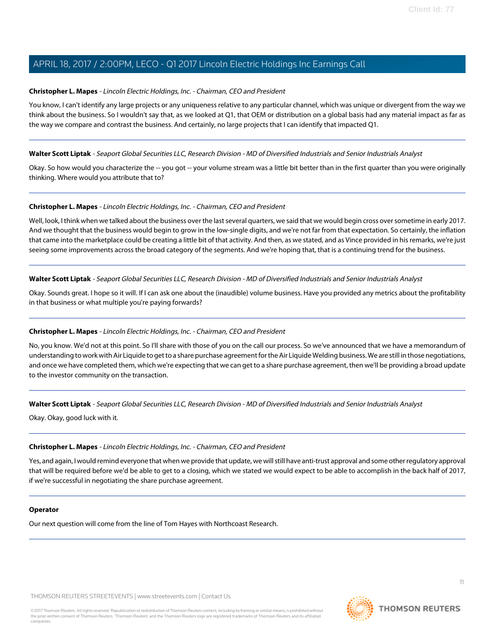# **Christopher L. Mapes** - Lincoln Electric Holdings, Inc. - Chairman, CEO and President

You know, I can't identify any large projects or any uniqueness relative to any particular channel, which was unique or divergent from the way we think about the business. So I wouldn't say that, as we looked at Q1, that OEM or distribution on a global basis had any material impact as far as the way we compare and contrast the business. And certainly, no large projects that I can identify that impacted Q1.

# **Walter Scott Liptak** - Seaport Global Securities LLC, Research Division - MD of Diversified Industrials and Senior Industrials Analyst

Okay. So how would you characterize the -- you got -- your volume stream was a little bit better than in the first quarter than you were originally thinking. Where would you attribute that to?

# **Christopher L. Mapes** - Lincoln Electric Holdings, Inc. - Chairman, CEO and President

Well, look, I think when we talked about the business over the last several quarters, we said that we would begin cross over sometime in early 2017. And we thought that the business would begin to grow in the low-single digits, and we're not far from that expectation. So certainly, the inflation that came into the marketplace could be creating a little bit of that activity. And then, as we stated, and as Vince provided in his remarks, we're just seeing some improvements across the broad category of the segments. And we're hoping that, that is a continuing trend for the business.

**Walter Scott Liptak** - Seaport Global Securities LLC, Research Division - MD of Diversified Industrials and Senior Industrials Analyst

Okay. Sounds great. I hope so it will. If I can ask one about the (inaudible) volume business. Have you provided any metrics about the profitability in that business or what multiple you're paying forwards?

# **Christopher L. Mapes** - Lincoln Electric Holdings, Inc. - Chairman, CEO and President

No, you know. We'd not at this point. So I'll share with those of you on the call our process. So we've announced that we have a memorandum of understanding to work with Air Liquide to get to a share purchase agreement for the Air Liquide Welding business. We are still in those negotiations, and once we have completed them, which we're expecting that we can get to a share purchase agreement, then we'll be providing a broad update to the investor community on the transaction.

#### **Walter Scott Liptak** - Seaport Global Securities LLC, Research Division - MD of Diversified Industrials and Senior Industrials Analyst

Okay. Okay, good luck with it.

# **Christopher L. Mapes** - Lincoln Electric Holdings, Inc. - Chairman, CEO and President

Yes, and again, I would remind everyone that when we provide that update, we will still have anti-trust approval and some other regulatory approval that will be required before we'd be able to get to a closing, which we stated we would expect to be able to accomplish in the back half of 2017, if we're successful in negotiating the share purchase agreement.

#### **Operator**

Our next question will come from the line of Tom Hayes with Northcoast Research.

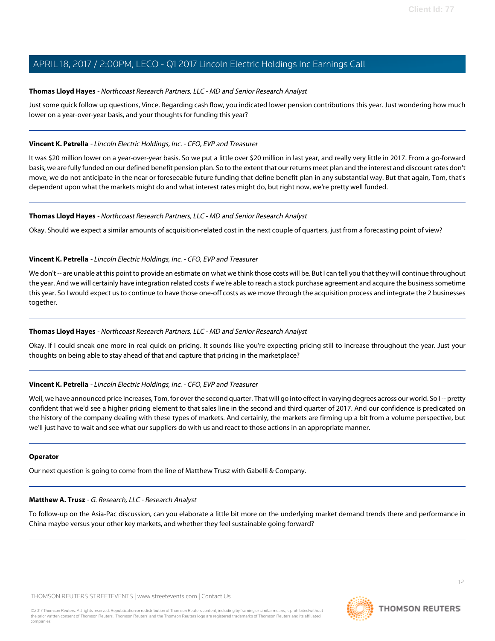# <span id="page-11-1"></span>**Thomas Lloyd Hayes** - Northcoast Research Partners, LLC - MD and Senior Research Analyst

Just some quick follow up questions, Vince. Regarding cash flow, you indicated lower pension contributions this year. Just wondering how much lower on a year-over-year basis, and your thoughts for funding this year?

# **Vincent K. Petrella** - Lincoln Electric Holdings, Inc. - CFO, EVP and Treasurer

It was \$20 million lower on a year-over-year basis. So we put a little over \$20 million in last year, and really very little in 2017. From a go-forward basis, we are fully funded on our defined benefit pension plan. So to the extent that our returns meet plan and the interest and discount rates don't move, we do not anticipate in the near or foreseeable future funding that define benefit plan in any substantial way. But that again, Tom, that's dependent upon what the markets might do and what interest rates might do, but right now, we're pretty well funded.

#### **Thomas Lloyd Hayes** - Northcoast Research Partners, LLC - MD and Senior Research Analyst

Okay. Should we expect a similar amounts of acquisition-related cost in the next couple of quarters, just from a forecasting point of view?

# **Vincent K. Petrella** - Lincoln Electric Holdings, Inc. - CFO, EVP and Treasurer

We don't -- are unable at this point to provide an estimate on what we think those costs will be. But I can tell you that they will continue throughout the year. And we will certainly have integration related costs if we're able to reach a stock purchase agreement and acquire the business sometime this year. So I would expect us to continue to have those one-off costs as we move through the acquisition process and integrate the 2 businesses together.

#### **Thomas Lloyd Hayes** - Northcoast Research Partners, LLC - MD and Senior Research Analyst

Okay. If I could sneak one more in real quick on pricing. It sounds like you're expecting pricing still to increase throughout the year. Just your thoughts on being able to stay ahead of that and capture that pricing in the marketplace?

# **Vincent K. Petrella** - Lincoln Electric Holdings, Inc. - CFO, EVP and Treasurer

Well, we have announced price increases, Tom, for over the second quarter. That will go into effect in varying degrees across our world. So I-- pretty confident that we'd see a higher pricing element to that sales line in the second and third quarter of 2017. And our confidence is predicated on the history of the company dealing with these types of markets. And certainly, the markets are firming up a bit from a volume perspective, but we'll just have to wait and see what our suppliers do with us and react to those actions in an appropriate manner.

#### <span id="page-11-0"></span>**Operator**

Our next question is going to come from the line of Matthew Trusz with Gabelli & Company.

# **Matthew A. Trusz** - G. Research, LLC - Research Analyst

To follow-up on the Asia-Pac discussion, can you elaborate a little bit more on the underlying market demand trends there and performance in China maybe versus your other key markets, and whether they feel sustainable going forward?

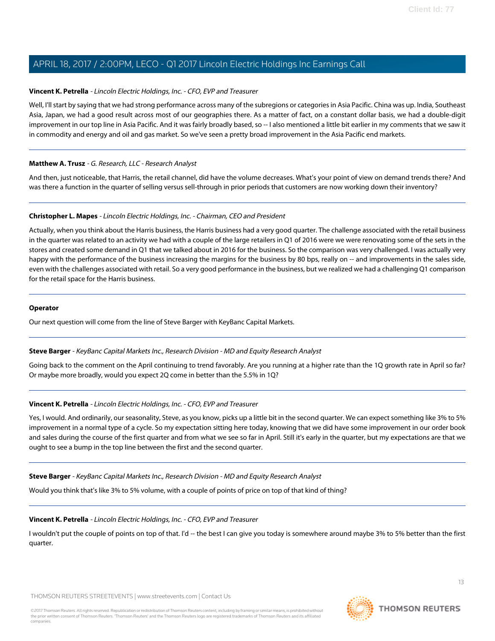# **Vincent K. Petrella** - Lincoln Electric Holdings, Inc. - CFO, EVP and Treasurer

Well, I'll start by saying that we had strong performance across many of the subregions or categories in Asia Pacific. China was up. India, Southeast Asia, Japan, we had a good result across most of our geographies there. As a matter of fact, on a constant dollar basis, we had a double-digit improvement in our top line in Asia Pacific. And it was fairly broadly based, so -- I also mentioned a little bit earlier in my comments that we saw it in commodity and energy and oil and gas market. So we've seen a pretty broad improvement in the Asia Pacific end markets.

# **Matthew A. Trusz** - G. Research, LLC - Research Analyst

And then, just noticeable, that Harris, the retail channel, did have the volume decreases. What's your point of view on demand trends there? And was there a function in the quarter of selling versus sell-through in prior periods that customers are now working down their inventory?

# **Christopher L. Mapes** - Lincoln Electric Holdings, Inc. - Chairman, CEO and President

Actually, when you think about the Harris business, the Harris business had a very good quarter. The challenge associated with the retail business in the quarter was related to an activity we had with a couple of the large retailers in Q1 of 2016 were we were renovating some of the sets in the stores and created some demand in Q1 that we talked about in 2016 for the business. So the comparison was very challenged. I was actually very happy with the performance of the business increasing the margins for the business by 80 bps, really on -- and improvements in the sales side, even with the challenges associated with retail. So a very good performance in the business, but we realized we had a challenging Q1 comparison for the retail space for the Harris business.

#### **Operator**

<span id="page-12-0"></span>Our next question will come from the line of Steve Barger with KeyBanc Capital Markets.

#### **Steve Barger** - KeyBanc Capital Markets Inc., Research Division - MD and Equity Research Analyst

Going back to the comment on the April continuing to trend favorably. Are you running at a higher rate than the 1Q growth rate in April so far? Or maybe more broadly, would you expect 2Q come in better than the 5.5% in 1Q?

# **Vincent K. Petrella** - Lincoln Electric Holdings, Inc. - CFO, EVP and Treasurer

Yes, I would. And ordinarily, our seasonality, Steve, as you know, picks up a little bit in the second quarter. We can expect something like 3% to 5% improvement in a normal type of a cycle. So my expectation sitting here today, knowing that we did have some improvement in our order book and sales during the course of the first quarter and from what we see so far in April. Still it's early in the quarter, but my expectations are that we ought to see a bump in the top line between the first and the second quarter.

#### **Steve Barger** - KeyBanc Capital Markets Inc., Research Division - MD and Equity Research Analyst

Would you think that's like 3% to 5% volume, with a couple of points of price on top of that kind of thing?

#### **Vincent K. Petrella** - Lincoln Electric Holdings, Inc. - CFO, EVP and Treasurer

I wouldn't put the couple of points on top of that. I'd -- the best I can give you today is somewhere around maybe 3% to 5% better than the first quarter.

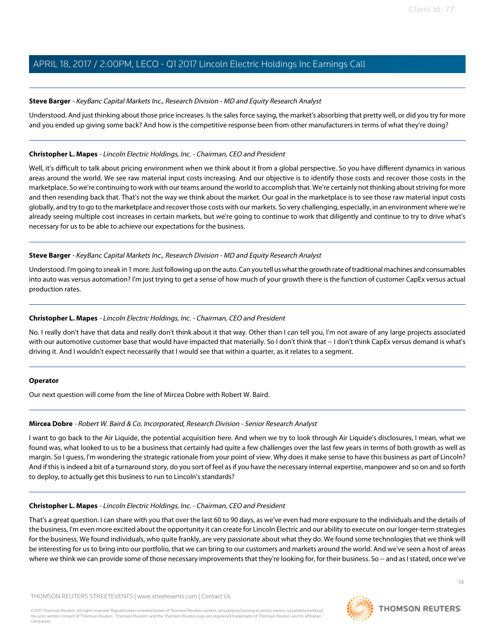# **Steve Barger** - KeyBanc Capital Markets Inc., Research Division - MD and Equity Research Analyst

Understood. And just thinking about those price increases. Is the sales force saying, the market's absorbing that pretty well, or did you try for more and you ended up giving some back? And how is the competitive response been from other manufacturers in terms of what they're doing?

#### **Christopher L. Mapes** - Lincoln Electric Holdings, Inc. - Chairman, CEO and President

Well, it's difficult to talk about pricing environment when we think about it from a global perspective. So you have different dynamics in various areas around the world. We see raw material input costs increasing. And our objective is to identify those costs and recover those costs in the marketplace. So we're continuing to work with our teams around the world to accomplish that. We're certainly not thinking about striving for more and then resending back that. That's not the way we think about the market. Our goal in the marketplace is to see those raw material input costs globally, and try to go to the marketplace and recover those costs with our markets. So very challenging, especially, in an environment where we're already seeing multiple cost increases in certain markets, but we're going to continue to work that diligently and continue to try to drive what's necessary for us to be able to achieve our expectations for the business.

# **Steve Barger** - KeyBanc Capital Markets Inc., Research Division - MD and Equity Research Analyst

Understood. I'm going to sneak in 1 more. Just following up on the auto. Can you tell us what the growth rate of traditional machines and consumables into auto was versus automation? I'm just trying to get a sense of how much of your growth there is the function of customer CapEx versus actual production rates.

# **Christopher L. Mapes** - Lincoln Electric Holdings, Inc. - Chairman, CEO and President

No. I really don't have that data and really don't think about it that way. Other than I can tell you, I'm not aware of any large projects associated with our automotive customer base that would have impacted that materially. So I don't think that -- I don't think CapEx versus demand is what's driving it. And I wouldn't expect necessarily that I would see that within a quarter, as it relates to a segment.

#### **Operator**

Our next question will come from the line of Mircea Dobre with Robert W. Baird.

# **Mircea Dobre** - Robert W. Baird & Co. Incorporated, Research Division - Senior Research Analyst

I want to go back to the Air Liquide, the potential acquisition here. And when we try to look through Air Liquide's disclosures, I mean, what we found was, what looked to us to be a business that certainly had quite a few challenges over the last few years in terms of both growth as well as margin. So I guess, I'm wondering the strategic rationale from your point of view. Why does it make sense to have this business as part of Lincoln? And if this is indeed a bit of a turnaround story, do you sort of feel as if you have the necessary internal expertise, manpower and so on and so forth to deploy, to actually get this business to run to Lincoln's standards?

# **Christopher L. Mapes** - Lincoln Electric Holdings, Inc. - Chairman, CEO and President

That's a great question. I can share with you that over the last 60 to 90 days, as we've even had more exposure to the individuals and the details of the business, I'm even more excited about the opportunity it can create for Lincoln Electric and our ability to execute on our longer-term strategies for the business. We found individuals, who quite frankly, are very passionate about what they do. We found some technologies that we think will be interesting for us to bring into our portfolio, that we can bring to our customers and markets around the world. And we've seen a host of areas where we think we can provide some of those necessary improvements that they're looking for, for their business. So -- and as I stated, once we've

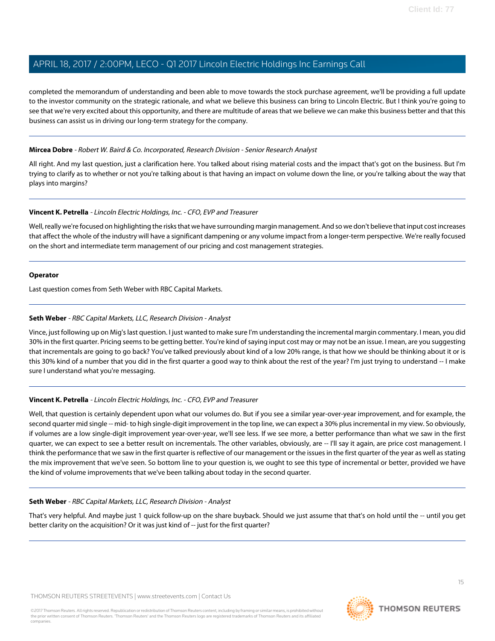completed the memorandum of understanding and been able to move towards the stock purchase agreement, we'll be providing a full update to the investor community on the strategic rationale, and what we believe this business can bring to Lincoln Electric. But I think you're going to see that we're very excited about this opportunity, and there are multitude of areas that we believe we can make this business better and that this business can assist us in driving our long-term strategy for the company.

# **Mircea Dobre** - Robert W. Baird & Co. Incorporated, Research Division - Senior Research Analyst

All right. And my last question, just a clarification here. You talked about rising material costs and the impact that's got on the business. But I'm trying to clarify as to whether or not you're talking about is that having an impact on volume down the line, or you're talking about the way that plays into margins?

# **Vincent K. Petrella** - Lincoln Electric Holdings, Inc. - CFO, EVP and Treasurer

Well, really we're focused on highlighting the risks that we have surrounding margin management. And so we don't believe that input cost increases that affect the whole of the industry will have a significant dampening or any volume impact from a longer-term perspective. We're really focused on the short and intermediate term management of our pricing and cost management strategies.

# **Operator**

<span id="page-14-0"></span>Last question comes from Seth Weber with RBC Capital Markets.

# **Seth Weber** - RBC Capital Markets, LLC, Research Division - Analyst

Vince, just following up on Mig's last question. I just wanted to make sure I'm understanding the incremental margin commentary. I mean, you did 30% in the first quarter. Pricing seems to be getting better. You're kind of saying input cost may or may not be an issue. I mean, are you suggesting that incrementals are going to go back? You've talked previously about kind of a low 20% range, is that how we should be thinking about it or is this 30% kind of a number that you did in the first quarter a good way to think about the rest of the year? I'm just trying to understand -- I make sure I understand what you're messaging.

# **Vincent K. Petrella** - Lincoln Electric Holdings, Inc. - CFO, EVP and Treasurer

Well, that question is certainly dependent upon what our volumes do. But if you see a similar year-over-year improvement, and for example, the second quarter mid single -- mid- to high single-digit improvement in the top line, we can expect a 30% plus incremental in my view. So obviously, if volumes are a low single-digit improvement year-over-year, we'll see less. If we see more, a better performance than what we saw in the first quarter, we can expect to see a better result on incrementals. The other variables, obviously, are -- I'll say it again, are price cost management. I think the performance that we saw in the first quarter is reflective of our management or the issues in the first quarter of the year as well as stating the mix improvement that we've seen. So bottom line to your question is, we ought to see this type of incremental or better, provided we have the kind of volume improvements that we've been talking about today in the second quarter.

#### **Seth Weber** - RBC Capital Markets, LLC, Research Division - Analyst

That's very helpful. And maybe just 1 quick follow-up on the share buyback. Should we just assume that that's on hold until the -- until you get better clarity on the acquisition? Or it was just kind of -- just for the first quarter?